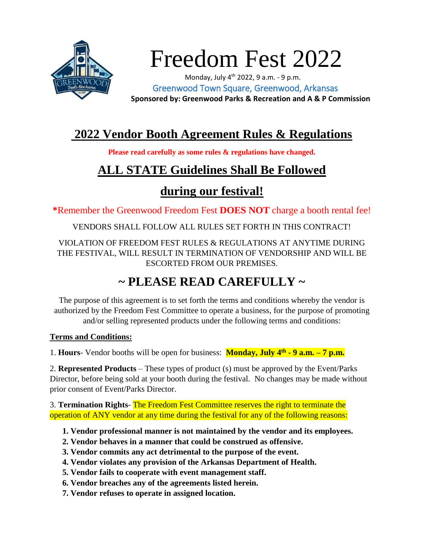

# Freedom Fest 2022

Monday, July  $4^{th}$  2022, 9 a.m. - 9 p.m. Greenwood Town Square, Greenwood, Arkansas  **Sponsored by: Greenwood Parks & Recreation and A & P Commission**

## **2022 Vendor Booth Agreement Rules & Regulations**

**Please read carefully as some rules & regulations have changed.**

# **ALL STATE Guidelines Shall Be Followed**

## **during our festival!**

**\***Remember the Greenwood Freedom Fest **DOES NOT** charge a booth rental fee!

VENDORS SHALL FOLLOW ALL RULES SET FORTH IN THIS CONTRACT!

VIOLATION OF FREEDOM FEST RULES & REGULATIONS AT ANYTIME DURING THE FESTIVAL, WILL RESULT IN TERMINATION OF VENDORSHIP AND WILL BE ESCORTED FROM OUR PREMISES.

# **~ PLEASE READ CAREFULLY ~**

The purpose of this agreement is to set forth the terms and conditions whereby the vendor is authorized by the Freedom Fest Committee to operate a business, for the purpose of promoting and/or selling represented products under the following terms and conditions:

#### **Terms and Conditions:**

1. **Hours**- Vendor booths will be open for business: **Monday, July 4th - 9 a.m. – 7 p.m.**

2. **Represented Products** – These types of product (s) must be approved by the Event/Parks Director, before being sold at your booth during the festival. No changes may be made without prior consent of Event/Parks Director.

3. **Termination Rights**- The Freedom Fest Committee reserves the right to terminate the operation of ANY vendor at any time during the festival for any of the following reasons:

- **1. Vendor professional manner is not maintained by the vendor and its employees.**
- **2. Vendor behaves in a manner that could be construed as offensive.**
- **3. Vendor commits any act detrimental to the purpose of the event.**
- **4. Vendor violates any provision of the Arkansas Department of Health.**
- **5. Vendor fails to cooperate with event management staff.**
- **6. Vendor breaches any of the agreements listed herein.**
- **7. Vendor refuses to operate in assigned location.**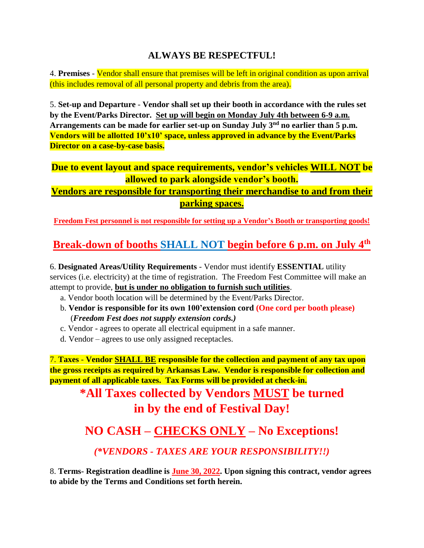#### **ALWAYS BE RESPECTFUL!**

4. **Premises** - Vendor shall ensure that premises will be left in original condition as upon arrival (this includes removal of all personal property and debris from the area).

5. **Set-up and Departure** - **Vendor shall set up their booth in accordance with the rules set by the Event/Parks Director. Set up will begin on Monday July 4th between 6-9 a.m. Arrangements can be made for earlier set-up on Sunday July 3nd no earlier than 5 p.m. Vendors will be allotted 10'x10' space, unless approved in advance by the Event/Parks Director on a case-by-case basis.**

**Due to event layout and space requirements, vendor's vehicles WILL NOT be allowed to park alongside vendor's booth.**

**Vendors are responsible for transporting their merchandise to and from their parking spaces.**

**Freedom Fest personnel is not responsible for setting up a Vendor's Booth or transporting goods!** 

#### **Break-down of booths SHALL NOT begin before 6 p.m. on July 4th**

6. **Designated Areas/Utility Requirements** - Vendor must identify **ESSENTIAL** utility services (i.e. electricity) at the time of registration. The Freedom Fest Committee will make an attempt to provide, **but is under no obligation to furnish such utilities**.

- a. Vendor booth location will be determined by the Event/Parks Director.
- b. **Vendor is responsible for its own 100'extension cord (One cord per booth please)** (*Freedom Fest does not supply extension cords.)*
- c. Vendor agrees to operate all electrical equipment in a safe manner.
- d. Vendor agrees to use only assigned receptacles.

7. **Taxes** - **Vendor SHALL BE responsible for the collection and payment of any tax upon the gross receipts as required by Arkansas Law. Vendor is responsible for collection and payment of all applicable taxes. Tax Forms will be provided at check-in.**

**\*All Taxes collected by Vendors MUST be turned in by the end of Festival Day!**

## **NO CASH – CHECKS ONLY – No Exceptions!**

*(\*VENDORS - TAXES ARE YOUR RESPONSIBILITY!!)*

8. **Terms- Registration deadline is June 30, 2022. Upon signing this contract, vendor agrees to abide by the Terms and Conditions set forth herein.**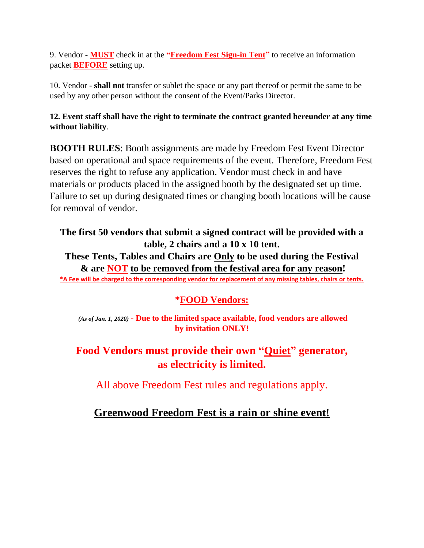9. Vendor - **MUST** check in at the **"Freedom Fest Sign-in Tent"** to receive an information packet **BEFORE** setting up.

10. Vendor - **shall not** transfer or sublet the space or any part thereof or permit the same to be used by any other person without the consent of the Event/Parks Director.

#### **12. Event staff shall have the right to terminate the contract granted hereunder at any time without liability**.

**BOOTH RULES**: Booth assignments are made by Freedom Fest Event Director based on operational and space requirements of the event. Therefore, Freedom Fest reserves the right to refuse any application. Vendor must check in and have materials or products placed in the assigned booth by the designated set up time. Failure to set up during designated times or changing booth locations will be cause for removal of vendor.

## **The first 50 vendors that submit a signed contract will be provided with a table, 2 chairs and a 10 x 10 tent.**

**These Tents, Tables and Chairs are Only to be used during the Festival & are NOT to be removed from the festival area for any reason! \*A Fee will be charged to the corresponding vendor for replacement of any missing tables, chairs or tents.**

#### **\*FOOD Vendors:**

*(As of Jan. 1, 2020)* **- Due to the limited space available, food vendors are allowed by invitation ONLY!**

#### **Food Vendors must provide their own "Quiet" generator, as electricity is limited.**

All above Freedom Fest rules and regulations apply.

#### **Greenwood Freedom Fest is a rain or shine event!**